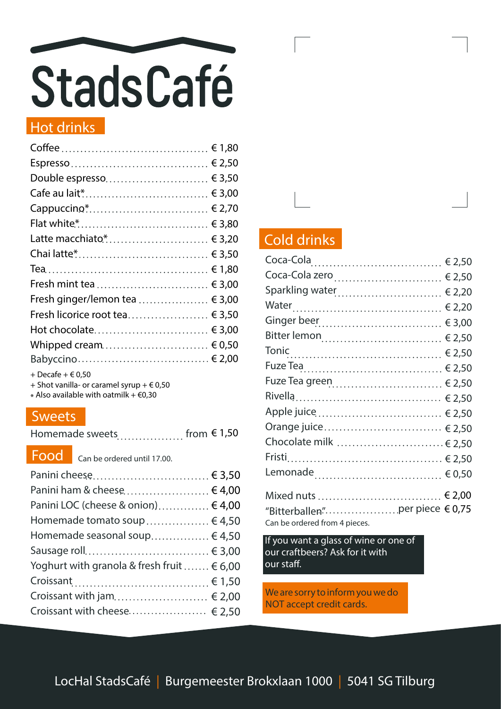

#### Hot drinks

| Double espresso € 3,50            |  |
|-----------------------------------|--|
|                                   |  |
| Cappuccino* € 2,70                |  |
|                                   |  |
| Latte macchiato.* € 3,20          |  |
|                                   |  |
|                                   |  |
| Fresh mint tea  € 3,00            |  |
| Fresh ginger/lemon tea $\in$ 3,00 |  |
| Fresh licorice root tea € 3,50    |  |
| Hot chocolate € 3,00              |  |
| Whipped cream $\in 0.50$          |  |
|                                   |  |
| + Decafe + $\in$ 0,50             |  |

+ Shot vanilla- or caramel syrup  $+ \epsilon$  0,50

 $*$  Also available with oatmilk +  $\epsilon$ 0,30

#### **Sweets**

Homemade sweets................... from  $\epsilon$  1,50

Food Can be ordered until 17.00.

| Panini cheese € 3,50                          |  |
|-----------------------------------------------|--|
| Panini ham & cheese € 4,00                    |  |
| Panini LOC (cheese & onion) € 4,00            |  |
| Homemade tomato soup € 4,50                   |  |
| Homemade seasonal soup € 4,50                 |  |
|                                               |  |
| Yoghurt with granola & fresh fruit $\in 6,00$ |  |
|                                               |  |
| Croissant with jam $\in$ 2,00                 |  |
| Croissant with cheese € 2,50                  |  |
|                                               |  |

#### Cold drinks

| Coca-Cola zero  € 2,50         |
|--------------------------------|
| Sparkling water € 2,20         |
|                                |
|                                |
|                                |
|                                |
|                                |
|                                |
|                                |
|                                |
| Orange juice € 2,50            |
| Chocolate milk  € 2,50         |
|                                |
|                                |
| Mixed nuts  € 2,00             |
| "Bitterballen"per piece € 0,75 |
| Can be ordered from 4 pieces.  |

If you want a glass of wine or one of our craftbeers? Ask for it with our staff.

We are sorry to inform you we do NOT accept credit cards.